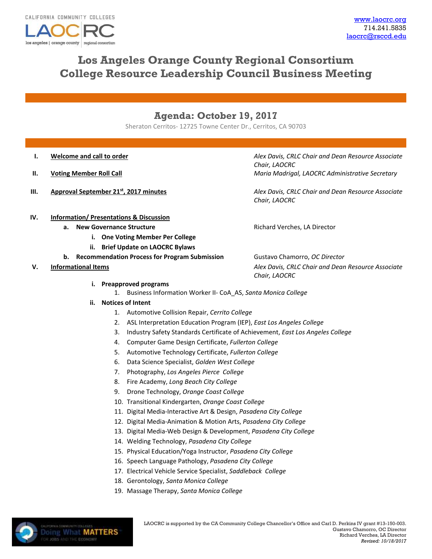los angeles | orange county | regional consortiu

# **Los Angeles Orange County Regional Consortium College Resource Leadership Council Business Meeting**

## **Agenda: October 19, 2017**

Sheraton Cerritos- 12725 Towne Center Dr., Cerritos, CA 90703

- 
- 
- 

**I. Welcome and call to order** *Alex Davis, CRLC Chair and Dean Resource Associate Chair, LAOCRC* **II. Voting Member Roll Call Maria Madrigal, LAOCRC Administrative Secretary** 

**III. Approval September 21st, 2017 minutes** *Alex Davis, CRLC Chair and Dean Resource Associate Chair, LAOCRC*

**IV. Information/ Presentations & Discussion**

- **a.** New Governance Structure **Rights Richard Verches, LA Director** 
	- **i. One Voting Member Per College**
	- **ii. Brief Update on LAOCRC Bylaws**
- **b. Recommendation Process for Program Submission** Gustavo Chamorro, *OC Director*
- 

**V. Informational Items** *Alex Davis, CRLC Chair and Dean Resource Associate* 

*Chair, LAOCRC*

**i. Preapproved programs**

1. Business Information Worker II- CoA\_AS, *Santa Monica College*

- **ii. Notices of Intent**
	- 1. Automotive Collision Repair, *Cerrito College*
	- 2. ASL Interpretation Education Program (IEP), *East Los Angeles College*
	- 3. Industry Safety Standards Certificate of Achievement, *East Los Angeles College*
	- 4. Computer Game Design Certificate, *Fullerton College*
	- 5. Automotive Technology Certificate, *Fullerton College*
	- 6. Data Science Specialist, *Golden West College*
	- 7. Photography, *Los Angeles Pierce College*
	- 8. Fire Academy, *Long Beach City College*
	- 9. Drone Technology, *Orange Coast College*
	- 10. Transitional Kindergarten, *Orange Coast College*
	- 11. Digital Media-Interactive Art & Design, *Pasadena City College*
	- 12. Digital Media-Animation & Motion Arts, *Pasadena City College*
	- 13. Digital Media-Web Design & Development, *Pasadena City College*
	- 14. Welding Technology, *Pasadena City College*
	- 15. Physical Education/Yoga Instructor, *Pasadena City College*
	- 16. Speech Language Pathology, *Pasadena City College*
	- 17. Electrical Vehicle Service Specialist, *Saddleback College*
	- 18. Gerontology, *Santa Monica College*
	- 19. Massage Therapy, *Santa Monica College*